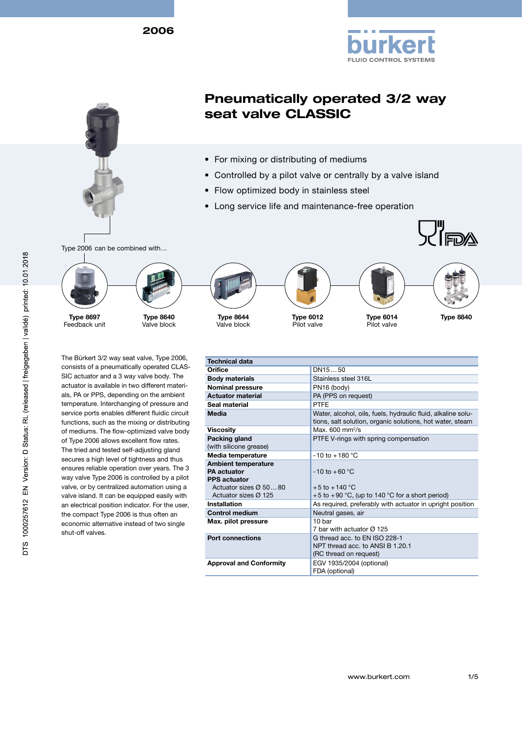2006





# Pneumatically operated 3/2 way seat valve CLASSIC

- For mixing or distributing of mediums
- Controlled by a pilot valve or centrally by a valve island
- Flow optimized body in stainless steel
- Long service life and maintenance-free operation

Type 2006 can be combined with…



Feedback unit Type 8697







Valve block







 $\nabla^{\prime\prime}$ FDA

Pilot valve

Type 6014 Type 8840

The Bürkert 3/2 way seat valve, Type 2006, consists of a pneumatically operated CLAS-SIC actuator and a 3 way valve body. The actuator is available in two different materials, PA or PPS, depending on the ambient temperature. Interchanging of pressure and service ports enables different fluidic circuit functions, such as the mixing or distributing of mediums. The flow-optimized valve body of Type 2006 allows excellent flow rates. The tried and tested self-adjusting gland secures a high level of tightness and thus ensures reliable operation over years. The 3 way valve Type 2006 is controlled by a pilot valve, or by centralized automation using a valve island. It can be equipped easily with an electrical position indicator. For the user, the compact Type 2006 is thus often an economic alternative instead of two single shut-off valves.

| <b>Technical data</b>                                                                                                                |                                                                                                                           |
|--------------------------------------------------------------------------------------------------------------------------------------|---------------------------------------------------------------------------------------------------------------------------|
| Orifice                                                                                                                              | DN1550                                                                                                                    |
| <b>Body materials</b>                                                                                                                | Stainless steel 316L                                                                                                      |
| <b>Nominal pressure</b>                                                                                                              | PN16 (body)                                                                                                               |
| <b>Actuator material</b>                                                                                                             | PA (PPS on request)                                                                                                       |
| Seal material                                                                                                                        | <b>PTFF</b>                                                                                                               |
| Media                                                                                                                                | Water, alcohol, oils, fuels, hydraulic fluid, alkaline solu-<br>tions, salt solution, organic solutions, hot water, steam |
| <b>Viscosity</b>                                                                                                                     | Max. $600 \text{ mm}^2\text{/s}$                                                                                          |
| Packing gland<br>(with silicone grease)                                                                                              | PTFE V-rings with spring compensation                                                                                     |
| Media temperature                                                                                                                    | $-10$ to $+180$ °C                                                                                                        |
| <b>Ambient temperature</b><br><b>PA</b> actuator<br><b>PPS</b> actuator<br>Actuator sizes $\varnothing$ 5080<br>Actuator sizes Ø 125 | $-10$ to $+60$ °C<br>$+5$ to $+140$ °C<br>+5 to +90 $\degree$ C, (up to 140 $\degree$ C for a short period)               |
| <b>Installation</b>                                                                                                                  | As required, preferably with actuator in upright position                                                                 |
| <b>Control medium</b>                                                                                                                | Neutral gases, air                                                                                                        |
| Max. pilot pressure                                                                                                                  | 10 bar<br>7 bar with actuator Ø 125                                                                                       |
| <b>Port connections</b>                                                                                                              | G thread acc. to FN ISO 228-1<br>NPT thread acc. to ANSLB 1.20.1<br>(RC thread on request)                                |
| <b>Approval and Conformity</b>                                                                                                       | EGV 1935/2004 (optional)<br>FDA (optional)                                                                                |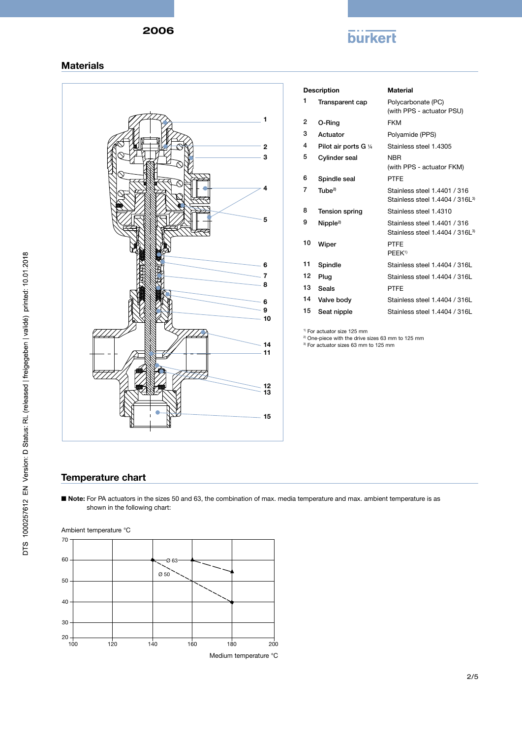# **burkert**

#### **Materials**



| <b>Description</b> |                       | <b>Material</b>                                                             |
|--------------------|-----------------------|-----------------------------------------------------------------------------|
| 1                  | Transparent cap       | Polycarbonate (PC)<br>(with PPS - actuator PSU)                             |
| 2                  | O-Ring                | <b>FKM</b>                                                                  |
| 3                  | Actuator              | Polyamide (PPS)                                                             |
| 4                  | Pilot air ports G 1/4 | Stainless steel 1.4305                                                      |
| 5                  | Cylinder seal         | <b>NBR</b><br>(with PPS - actuator FKM)                                     |
| 6                  | Spindle seal          | <b>PTFE</b>                                                                 |
| 7                  | Tuhe <sup>2</sup>     | Stainless steel 1.4401 / 316<br>Stainless steel 1.4404 / 316L <sup>3)</sup> |
| 8                  | Tension spring        | Stainless steel 1.4310                                                      |
| 9                  | Nipple <sup>2</sup>   | Stainless steel 1.4401 / 316<br>Stainless steel 1.4404 / 3161 <sup>3</sup>  |
| 10                 | Wiper                 | <b>PTFE</b><br>PEEK <sup>1)</sup>                                           |
| 11                 | Spindle               | Stainless steel 1.4404 / 316L                                               |
| 12                 | Plug                  | Stainless steel 1.4404 / 316L                                               |
| 13                 | Seals                 | <b>PTFE</b>                                                                 |
| 14                 | Valve body            | Stainless steel 1.4404 / 316L                                               |
| 15                 | Seat nipple           | Stainless steel 1.4404 / 316L                                               |

<sup>1)</sup> For actuator size 125 mm

<sup>2)</sup> One-piece with the drive sizes 63 mm to 125 mm

3) For actuator sizes 63 mm to 125 mm

### Temperature chart

■ Note: For PA actuators in the sizes 50 and 63, the combination of max. media temperature and max. ambient temperature is as shown in the following chart:

Ambient temperature °C

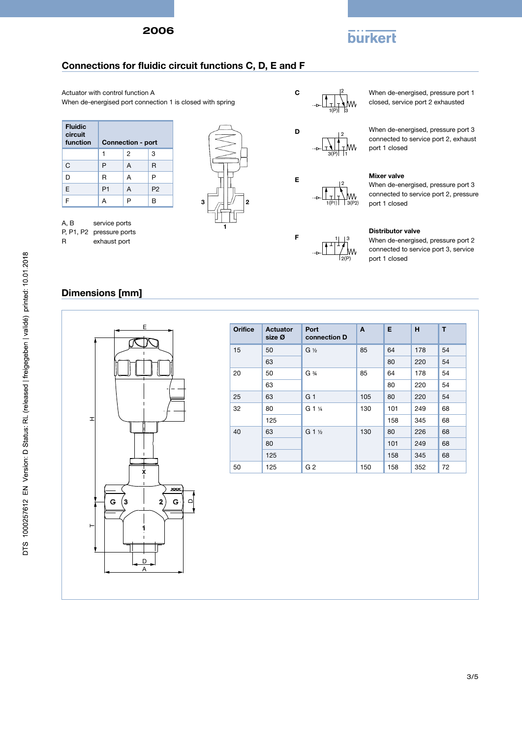# **burkert**

## Connections for fluidic circuit functions C, D, E and F

Actuator with control function A When de-energised port connection 1 is closed with spring

| <b>Fluidic</b><br>circuit<br>function |                | <b>Connection - port</b> |                |
|---------------------------------------|----------------|--------------------------|----------------|
|                                       | 1              | $\overline{2}$           | 3              |
| C                                     | P              | A                        | R              |
| D                                     | R              | A                        | P              |
| E                                     | P <sub>1</sub> | A                        | P <sub>2</sub> |
| F                                     | А              | P                        | B              |
|                                       |                |                          |                |

A, B service ports P, P1, P2 pressure ports

R exhaust port







E

F



 $1 | 3$ 

2(P)

When de-energised, pressure port 1 closed, service port 2 exhausted

When de-energised, pressure port 3 connected to service port 2, exhaust port 1 closed

#### Mixer valve

When de-energised, pressure port 3 connected to service port 2, pressure port 1 closed

#### Distributor valve

When de-energised, pressure port 2 connected to service port 3, service port 1 closed

## Dimensions [mm]



| <b>Orifice</b> | <b>Actuator</b><br>size Ø | Port<br>connection D            | A   | E   | H   | T  |
|----------------|---------------------------|---------------------------------|-----|-----|-----|----|
| 15             | 50                        | $G\mathcal{V}_2$                | 85  | 64  | 178 | 54 |
|                | 63                        |                                 |     | 80  | 220 | 54 |
| 20             | 50                        | $G \frac{3}{4}$                 | 85  | 64  | 178 | 54 |
|                | 63                        |                                 |     | 80  | 220 | 54 |
| 25             | 63                        | G <sub>1</sub>                  | 105 | 80  | 220 | 54 |
| 32             | 80                        | G 1 <sup>1</sup> / <sub>4</sub> | 130 | 101 | 249 | 68 |
|                | 125                       |                                 |     | 158 | 345 | 68 |
| 40             | 63                        | G 1 1/2                         | 130 | 80  | 226 | 68 |
|                | 80                        |                                 |     | 101 | 249 | 68 |
|                | 125                       |                                 |     | 158 | 345 | 68 |
| 50             | 125                       | G <sub>2</sub>                  | 150 | 158 | 352 | 72 |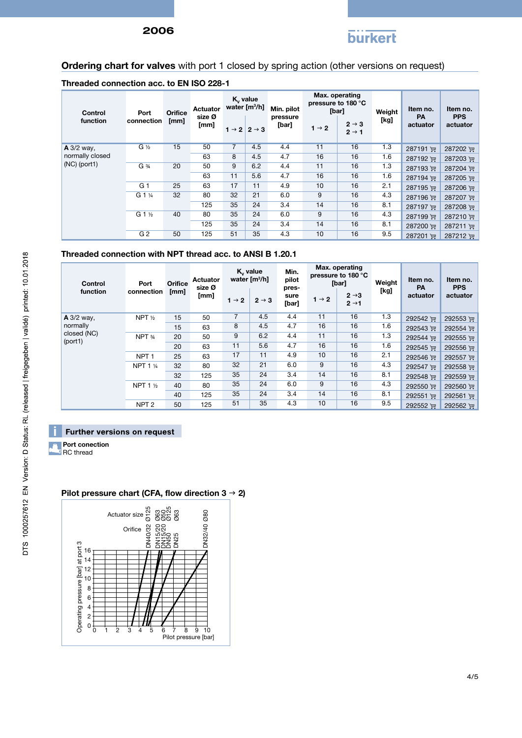

# Ordering chart for valves with port 1 closed by spring action (other versions on request)

### Threaded connection acc. to EN ISO 228-1

| Control<br>function | Port<br>connection  | Orifice<br>[mm] | Actuator<br>size Ø<br>[mm] | K <sub>v</sub> value<br>water $[m3/h]$ | $1 \rightarrow 2$ $2 \rightarrow 3$ | Min. pilot<br>pressure<br>[bar] | [bar]<br>$1 \rightarrow 2$ | Max. operating<br>pressure to 180 °C<br>$2 \rightarrow 3$<br>$2 \rightarrow 1$ | Weight<br>[kg] | Item no.<br><b>PA</b><br>actuator | Item no.<br><b>PPS</b><br>actuator |
|---------------------|---------------------|-----------------|----------------------------|----------------------------------------|-------------------------------------|---------------------------------|----------------------------|--------------------------------------------------------------------------------|----------------|-----------------------------------|------------------------------------|
| $A$ 3/2 way,        | $G\frac{1}{2}$      | 15              | 50                         | $\overline{7}$                         | 4.5                                 | 4.4                             | 11                         | 16                                                                             | 1.3            | 287191 更                          | 287202 评                           |
| normally closed     |                     |                 | 63                         | 8                                      | 4.5                                 | 4.7                             | 16                         | 16                                                                             | 1.6            | 287192 更                          | 287203 更                           |
| $(NC)$ (port1)      | $G \frac{3}{4}$     | 20              | 50                         | 9                                      | 6.2                                 | 4.4                             | 11                         | 16                                                                             | 1.3            | 287193 评                          | 287204 更                           |
|                     |                     |                 | 63                         | 11                                     | 5.6                                 | 4.7                             | 16                         | 16                                                                             | 1.6            | 287194 更                          | 287205 课                           |
|                     | G <sub>1</sub>      | 25              | 63                         | 17                                     | 11                                  | 4.9                             | 10                         | 16                                                                             | 2.1            | 287195 评                          | 287206 厘                           |
|                     | G 1 1/4             | 32              | 80                         | 32                                     | 21                                  | 6.0                             | 9                          | 16                                                                             | 4.3            | 287196 评                          | 287207 评                           |
|                     |                     |                 | 125                        | 35                                     | 24                                  | 3.4                             | 14                         | 16                                                                             | 8.1            | 287197 逆                          | 287208 厘                           |
|                     | $G_1$ $\frac{1}{2}$ | 40              | 80                         | 35                                     | 24                                  | 6.0                             | 9                          | 16                                                                             | 4.3            | 287199 评                          | 287210 更                           |
|                     |                     |                 | 125                        | 35                                     | 24                                  | 3.4                             | 14                         | 16                                                                             | 8.1            | 287200 逆                          | 287211 更                           |
|                     | G <sub>2</sub>      | 50              | 125                        | 51                                     | 35                                  | 4.3                             | 10                         | 16                                                                             | 9.5            | 287201 更                          | 287212 ਦਾ                          |

#### Threaded connection with NPT thread acc. to ANSI B 1.20.1

| Control<br>function    | Port<br>connection  | <b>Orifice</b><br>[mm] | Actuator<br>size Ø<br>[mm] |                   | K <sub>v</sub> value<br>water [m <sup>3</sup> /h] | Min.<br>pilot<br>pres-<br>sure |                   | Max. operating<br>pressure to 180 °C<br>[bar]<br>$2 \rightarrow 3$ | Weight<br>[kg] | Item no.<br>PA<br>actuator | Item no.<br><b>PPS</b><br>actuator |
|------------------------|---------------------|------------------------|----------------------------|-------------------|---------------------------------------------------|--------------------------------|-------------------|--------------------------------------------------------------------|----------------|----------------------------|------------------------------------|
|                        |                     |                        |                            | $1 \rightarrow 2$ | $2 \rightarrow 3$                                 | [bar]                          | $1 \rightarrow 2$ | $2 \rightarrow 1$                                                  |                |                            |                                    |
| A 3/2 way,             | NPT $\frac{1}{2}$   | 15                     | 50                         | 7                 | 4.5                                               | 4.4                            | 11                | 16                                                                 | 1.3            | 292542 更                   | 292553 评                           |
| normally               |                     | 15                     | 63                         | 8                 | 4.5                                               | 4.7                            | 16                | 16                                                                 | 1.6            | 292543 更                   | 292554 更                           |
| closed (NC)<br>(port1) | NPT 3/4             | 20                     | 50                         | 9                 | 6.2                                               | 4.4                            | 11                | 16                                                                 | 1.3            | 292544 更                   | 292555 课                           |
|                        |                     | 20                     | 63                         | 11                | 5.6                                               | 4.7                            | 16                | 16                                                                 | 1.6            | 292545 评                   | 292556 评                           |
|                        | NPT <sub>1</sub>    | 25                     | 63                         | 17                | 11                                                | 4.9                            | 10                | 16                                                                 | 2.1            | 292546 评                   | 292557 评                           |
|                        | <b>NPT 1 1/4</b>    | 32                     | 80                         | 32                | 21                                                | 6.0                            | 9                 | 16                                                                 | 4.3            | 292547 评                   | 292558 评                           |
|                        |                     | 32                     | 125                        | 35                | 24                                                | 3.4                            | 14                | 16                                                                 | 8.1            | 292548 评                   | 292559 评                           |
|                        | NPT 1 $\frac{1}{2}$ | 40                     | 80                         | 35                | 24                                                | 6.0                            | 9                 | 16                                                                 | 4.3            | 292550 更                   | 292560 评                           |
|                        |                     | 40                     | 125                        | 35                | 24                                                | 3.4                            | 14                | 16                                                                 | 8.1            | 292551 更                   | 292561 )                           |
|                        | NPT <sub>2</sub>    | 50                     | 125                        | 51                | 35                                                | 4.3                            | 10                | 16                                                                 | 9.5            | 292552 更                   | 292562 更                           |

#### Further versions on request

Port conection D **RC** thread

#### 16 14 12 10 8 6 4 2  $0 + 1 + 1$   $1 + 1$   $1 - 1$ <br> $0 + 1$   $2 + 3$   $4 + 5$   $6 + 7$   $8 + 9$  10 Pilot pressure [bar] Operating pressure [bar] at port 3 Orifice DN40/32 DN150<br>DN150<br>DN50<br>DN50 DN25 DN32/40 Actuator size ဆို ಣದ<br>ಶಾಸ್ತ್ರ<br>ಶಾಸ್ತ್ರ ಇ Ø80

### Pilot pressure chart (CFA, flow direction  $3 \rightarrow 2$ )